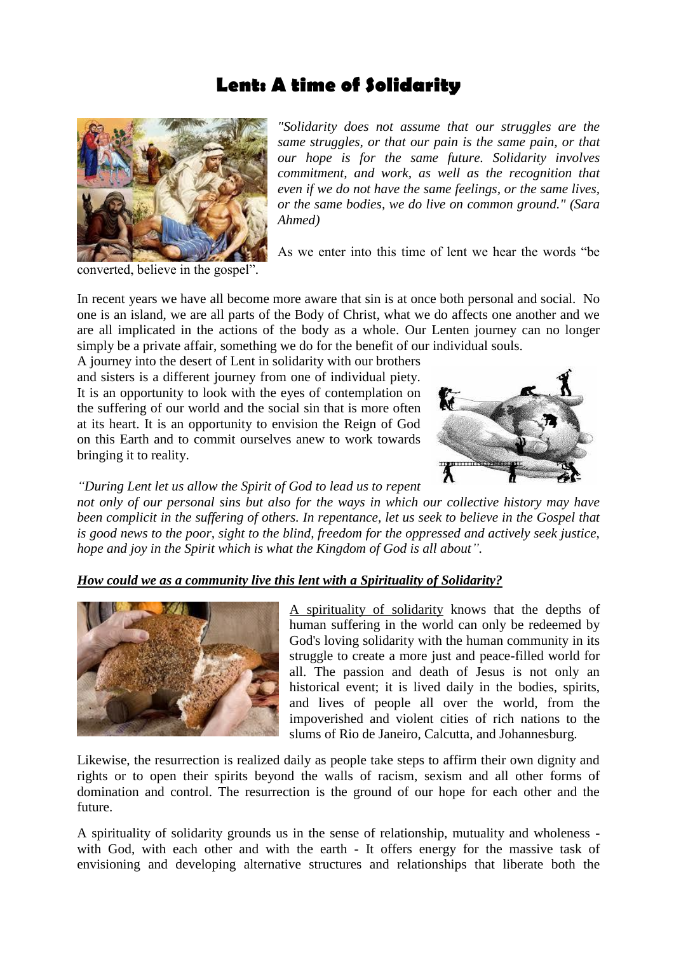## **Lent: A time of Solidarity**



*"Solidarity does not assume that our struggles are the same struggles, or that our pain is the same pain, or that our hope is for the same future. Solidarity involves commitment, and work, as well as the recognition that even if we do not have the same feelings, or the same lives, or the same bodies, we do live on common ground." (Sara Ahmed)*

As we enter into this time of lent we hear the words "be

converted, believe in the gospel".

In recent years we have all become more aware that sin is at once both personal and social. No one is an island, we are all parts of the Body of Christ, what we do affects one another and we are all implicated in the actions of the body as a whole. Our Lenten journey can no longer simply be a private affair, something we do for the benefit of our individual souls.

A journey into the desert of Lent in solidarity with our brothers and sisters is a different journey from one of individual piety. It is an opportunity to look with the eyes of contemplation on the suffering of our world and the social sin that is more often at its heart. It is an opportunity to envision the Reign of God on this Earth and to commit ourselves anew to work towards bringing it to reality.



*"During Lent let us allow the Spirit of God to lead us to repent* 

*not only of our personal sins but also for the ways in which our collective history may have been complicit in the suffering of others. In repentance, let us seek to believe in the Gospel that is good news to the poor, sight to the blind, freedom for the oppressed and actively seek justice, hope and joy in the Spirit which is what the Kingdom of God is all about".*

## *How could we as a community live this lent with a Spirituality of Solidarity?*



A spirituality of solidarity knows that the depths of human suffering in the world can only be redeemed by God's loving solidarity with the human community in its struggle to create a more just and peace-filled world for all. The passion and death of Jesus is not only an historical event; it is lived daily in the bodies, spirits, and lives of people all over the world, from the impoverished and violent cities of rich nations to the slums of Rio de Janeiro, Calcutta, and Johannesburg.

Likewise, the resurrection is realized daily as people take steps to affirm their own dignity and rights or to open their spirits beyond the walls of racism, sexism and all other forms of domination and control. The resurrection is the ground of our hope for each other and the future.

A spirituality of solidarity grounds us in the sense of relationship, mutuality and wholeness with God, with each other and with the earth - It offers energy for the massive task of envisioning and developing alternative structures and relationships that liberate both the